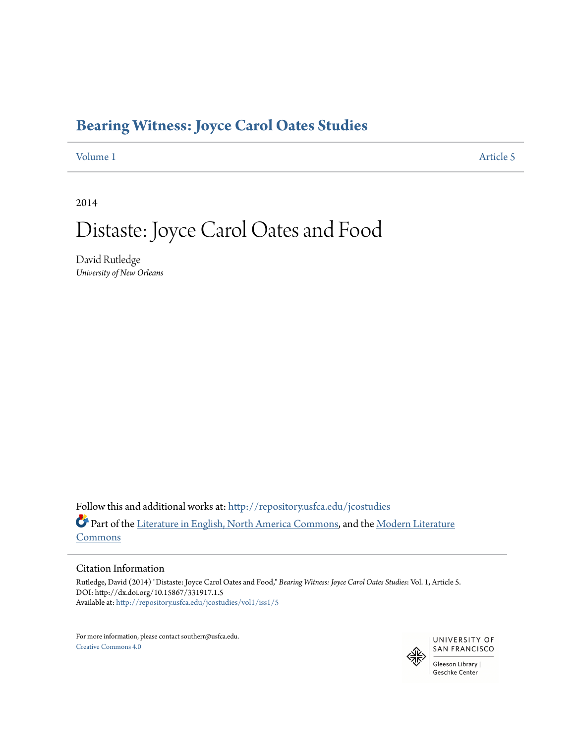# **[Bearing Witness: Joyce Carol Oates Studies](http://repository.usfca.edu/jcostudies?utm_source=repository.usfca.edu%2Fjcostudies%2Fvol1%2Fiss1%2F5&utm_medium=PDF&utm_campaign=PDFCoverPages)**

[Volume 1](http://repository.usfca.edu/jcostudies/vol1?utm_source=repository.usfca.edu%2Fjcostudies%2Fvol1%2Fiss1%2F5&utm_medium=PDF&utm_campaign=PDFCoverPages) [Article 5](http://repository.usfca.edu/jcostudies/vol1/iss1/5?utm_source=repository.usfca.edu%2Fjcostudies%2Fvol1%2Fiss1%2F5&utm_medium=PDF&utm_campaign=PDFCoverPages)

2014

# Distaste: Joyce Carol Oates and Food

David Rutledge *University of New Orleans*

Follow this and additional works at: [http://repository.usfca.edu/jcostudies](http://repository.usfca.edu/jcostudies?utm_source=repository.usfca.edu%2Fjcostudies%2Fvol1%2Fiss1%2F5&utm_medium=PDF&utm_campaign=PDFCoverPages) Part of the [Literature in English, North America Commons](http://network.bepress.com/hgg/discipline/458?utm_source=repository.usfca.edu%2Fjcostudies%2Fvol1%2Fiss1%2F5&utm_medium=PDF&utm_campaign=PDFCoverPages), and the [Modern Literature](http://network.bepress.com/hgg/discipline/1050?utm_source=repository.usfca.edu%2Fjcostudies%2Fvol1%2Fiss1%2F5&utm_medium=PDF&utm_campaign=PDFCoverPages) **[Commons](http://network.bepress.com/hgg/discipline/1050?utm_source=repository.usfca.edu%2Fjcostudies%2Fvol1%2Fiss1%2F5&utm_medium=PDF&utm_campaign=PDFCoverPages)** 

### Citation Information

Rutledge, David (2014) "Distaste: Joyce Carol Oates and Food," *Bearing Witness: Joyce Carol Oates Studies*: Vol. 1, Article 5. DOI: http://dx.doi.org/10.15867/331917.1.5 Available at: [http://repository.usfca.edu/jcostudies/vol1/iss1/5](http://repository.usfca.edu/jcostudies/vol1/iss1/5?utm_source=repository.usfca.edu%2Fjcostudies%2Fvol1%2Fiss1%2F5&utm_medium=PDF&utm_campaign=PDFCoverPages)

For more information, please contact southerr@usfca.edu. [Creative Commons 4.0](http://creativecommons.org/licenses/by/4.0/)

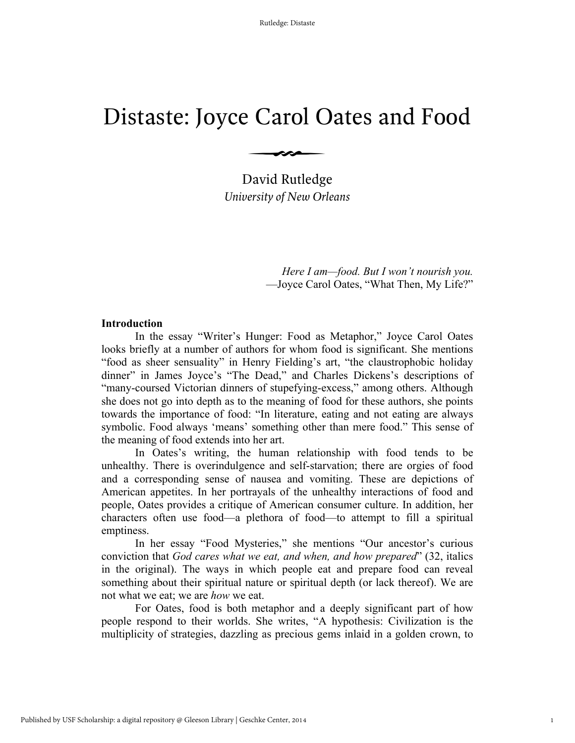# Distaste: Joyce Carol Oates and Food

*University of New Orleans* David Rutledge

 $\longrightarrow$ 

*Here I am—food. But I won't nourish you.* —Joyce Carol Oates, "What Then, My Life?"

## **Introduction**

In the essay "Writer's Hunger: Food as Metaphor," Joyce Carol Oates looks briefly at a number of authors for whom food is significant. She mentions "food as sheer sensuality" in Henry Fielding's art, "the claustrophobic holiday dinner" in James Joyce's "The Dead," and Charles Dickens's descriptions of "many-coursed Victorian dinners of stupefying-excess," among others. Although she does not go into depth as to the meaning of food for these authors, she points towards the importance of food: "In literature, eating and not eating are always symbolic. Food always 'means' something other than mere food." This sense of the meaning of food extends into her art.

In Oates's writing, the human relationship with food tends to be unhealthy. There is overindulgence and self-starvation; there are orgies of food and a corresponding sense of nausea and vomiting. These are depictions of American appetites. In her portrayals of the unhealthy interactions of food and people, Oates provides a critique of American consumer culture. In addition, her characters often use food—a plethora of food—to attempt to fill a spiritual emptiness.

In her essay "Food Mysteries," she mentions "Our ancestor's curious conviction that *God cares what we eat, and when, and how prepared*" (32, italics in the original). The ways in which people eat and prepare food can reveal something about their spiritual nature or spiritual depth (or lack thereof). We are not what we eat; we are *how* we eat.

For Oates, food is both metaphor and a deeply significant part of how people respond to their worlds. She writes, "A hypothesis: Civilization is the multiplicity of strategies, dazzling as precious gems inlaid in a golden crown, to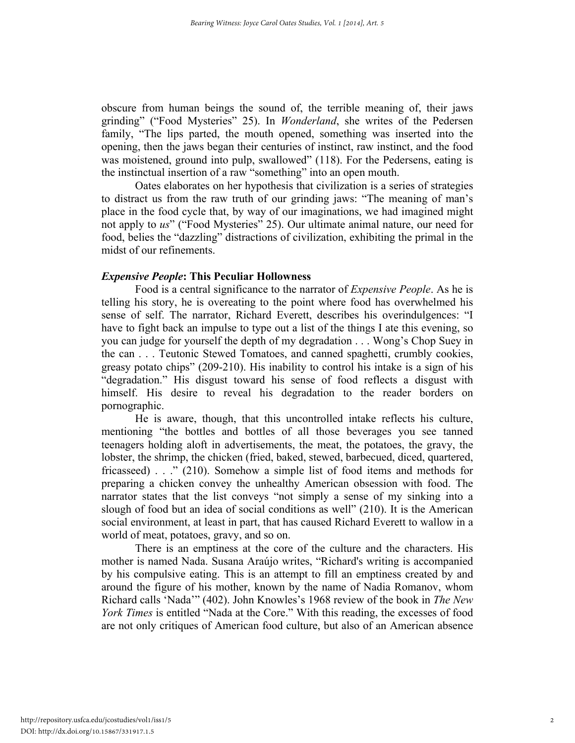obscure from human beings the sound of, the terrible meaning of, their jaws grinding" ("Food Mysteries" 25). In *Wonderland*, she writes of the Pedersen family, "The lips parted, the mouth opened, something was inserted into the opening, then the jaws began their centuries of instinct, raw instinct, and the food was moistened, ground into pulp, swallowed" (118). For the Pedersens, eating is the instinctual insertion of a raw "something" into an open mouth.

Oates elaborates on her hypothesis that civilization is a series of strategies to distract us from the raw truth of our grinding jaws: "The meaning of man's place in the food cycle that, by way of our imaginations, we had imagined might not apply to *us*" ("Food Mysteries" 25). Our ultimate animal nature, our need for food, belies the "dazzling" distractions of civilization, exhibiting the primal in the midst of our refinements.

# *Expensive People***: This Peculiar Hollowness**

Food is a central significance to the narrator of *Expensive People*. As he is telling his story, he is overeating to the point where food has overwhelmed his sense of self. The narrator, Richard Everett, describes his overindulgences: "I have to fight back an impulse to type out a list of the things I ate this evening, so you can judge for yourself the depth of my degradation . . . Wong's Chop Suey in the can . . . Teutonic Stewed Tomatoes, and canned spaghetti, crumbly cookies, greasy potato chips" (209-210). His inability to control his intake is a sign of his "degradation." His disgust toward his sense of food reflects a disgust with himself. His desire to reveal his degradation to the reader borders on pornographic.

He is aware, though, that this uncontrolled intake reflects his culture, mentioning "the bottles and bottles of all those beverages you see tanned teenagers holding aloft in advertisements, the meat, the potatoes, the gravy, the lobster, the shrimp, the chicken (fried, baked, stewed, barbecued, diced, quartered, fricasseed) . . ." (210). Somehow a simple list of food items and methods for preparing a chicken convey the unhealthy American obsession with food. The narrator states that the list conveys "not simply a sense of my sinking into a slough of food but an idea of social conditions as well" (210). It is the American social environment, at least in part, that has caused Richard Everett to wallow in a world of meat, potatoes, gravy, and so on.

There is an emptiness at the core of the culture and the characters. His mother is named Nada. Susana Araújo writes, "Richard's writing is accompanied by his compulsive eating. This is an attempt to fill an emptiness created by and around the figure of his mother, known by the name of Nadia Romanov, whom Richard calls 'Nada'" (402). John Knowles's 1968 review of the book in *The New York Times* is entitled "Nada at the Core." With this reading, the excesses of food are not only critiques of American food culture, but also of an American absence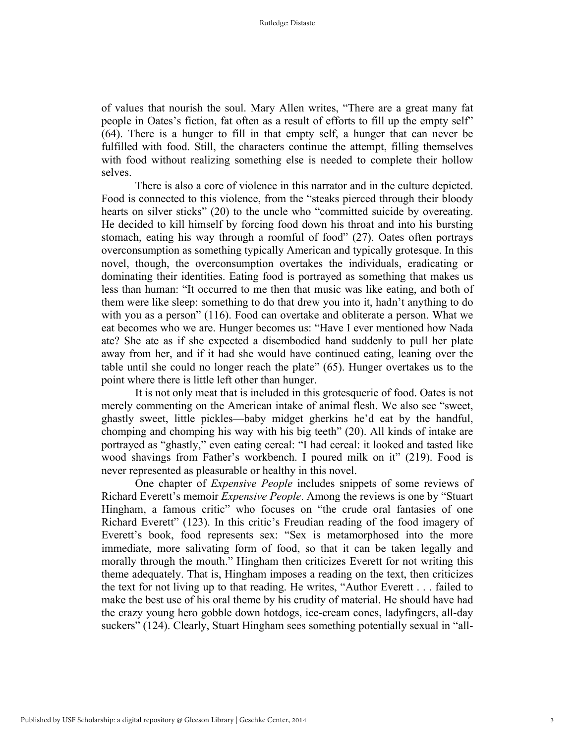of values that nourish the soul. Mary Allen writes, "There are a great many fat people in Oates's fiction, fat often as a result of efforts to fill up the empty self" (64). There is a hunger to fill in that empty self, a hunger that can never be fulfilled with food. Still, the characters continue the attempt, filling themselves with food without realizing something else is needed to complete their hollow selves.

There is also a core of violence in this narrator and in the culture depicted. Food is connected to this violence, from the "steaks pierced through their bloody hearts on silver sticks" (20) to the uncle who "committed suicide by overeating. He decided to kill himself by forcing food down his throat and into his bursting stomach, eating his way through a roomful of food" (27). Oates often portrays overconsumption as something typically American and typically grotesque. In this novel, though, the overconsumption overtakes the individuals, eradicating or dominating their identities. Eating food is portrayed as something that makes us less than human: "It occurred to me then that music was like eating, and both of them were like sleep: something to do that drew you into it, hadn't anything to do with you as a person" (116). Food can overtake and obliterate a person. What we eat becomes who we are. Hunger becomes us: "Have I ever mentioned how Nada ate? She ate as if she expected a disembodied hand suddenly to pull her plate away from her, and if it had she would have continued eating, leaning over the table until she could no longer reach the plate" (65). Hunger overtakes us to the point where there is little left other than hunger.

It is not only meat that is included in this grotesquerie of food. Oates is not merely commenting on the American intake of animal flesh. We also see "sweet, ghastly sweet, little pickles—baby midget gherkins he'd eat by the handful, chomping and chomping his way with his big teeth" (20). All kinds of intake are portrayed as "ghastly," even eating cereal: "I had cereal: it looked and tasted like wood shavings from Father's workbench. I poured milk on it" (219). Food is never represented as pleasurable or healthy in this novel.

One chapter of *Expensive People* includes snippets of some reviews of Richard Everett's memoir *Expensive People*. Among the reviews is one by "Stuart Hingham, a famous critic" who focuses on "the crude oral fantasies of one Richard Everett" (123). In this critic's Freudian reading of the food imagery of Everett's book, food represents sex: "Sex is metamorphosed into the more immediate, more salivating form of food, so that it can be taken legally and morally through the mouth." Hingham then criticizes Everett for not writing this theme adequately. That is, Hingham imposes a reading on the text, then criticizes the text for not living up to that reading. He writes, "Author Everett . . . failed to make the best use of his oral theme by his crudity of material. He should have had the crazy young hero gobble down hotdogs, ice-cream cones, ladyfingers, all-day suckers" (124). Clearly, Stuart Hingham sees something potentially sexual in "all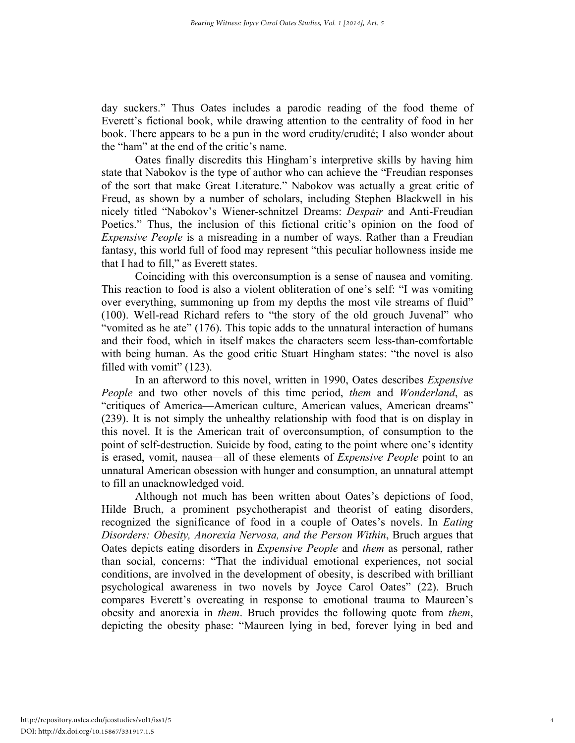day suckers." Thus Oates includes a parodic reading of the food theme of Everett's fictional book, while drawing attention to the centrality of food in her book. There appears to be a pun in the word crudity/crudité; I also wonder about the "ham" at the end of the critic's name.

Oates finally discredits this Hingham's interpretive skills by having him state that Nabokov is the type of author who can achieve the "Freudian responses of the sort that make Great Literature." Nabokov was actually a great critic of Freud, as shown by a number of scholars, including Stephen Blackwell in his nicely titled "Nabokov's Wiener-schnitzel Dreams: *Despair* and Anti-Freudian Poetics." Thus, the inclusion of this fictional critic's opinion on the food of *Expensive People* is a misreading in a number of ways. Rather than a Freudian fantasy, this world full of food may represent "this peculiar hollowness inside me that I had to fill," as Everett states.

Coinciding with this overconsumption is a sense of nausea and vomiting. This reaction to food is also a violent obliteration of one's self: "I was vomiting over everything, summoning up from my depths the most vile streams of fluid" (100). Well-read Richard refers to "the story of the old grouch Juvenal" who "vomited as he ate" (176). This topic adds to the unnatural interaction of humans and their food, which in itself makes the characters seem less-than-comfortable with being human. As the good critic Stuart Hingham states: "the novel is also filled with vomit" (123).

In an afterword to this novel, written in 1990, Oates describes *Expensive People* and two other novels of this time period, *them* and *Wonderland*, as "critiques of America—American culture, American values, American dreams" (239). It is not simply the unhealthy relationship with food that is on display in this novel. It is the American trait of overconsumption, of consumption to the point of self-destruction. Suicide by food, eating to the point where one's identity is erased, vomit, nausea—all of these elements of *Expensive People* point to an unnatural American obsession with hunger and consumption, an unnatural attempt to fill an unacknowledged void.

Although not much has been written about Oates's depictions of food, Hilde Bruch, a prominent psychotherapist and theorist of eating disorders, recognized the significance of food in a couple of Oates's novels. In *Eating Disorders: Obesity, Anorexia Nervosa, and the Person Within*, Bruch argues that Oates depicts eating disorders in *Expensive People* and *them* as personal, rather than social, concerns: "That the individual emotional experiences, not social conditions, are involved in the development of obesity, is described with brilliant psychological awareness in two novels by Joyce Carol Oates" (22). Bruch compares Everett's overeating in response to emotional trauma to Maureen's obesity and anorexia in *them*. Bruch provides the following quote from *them*, depicting the obesity phase: "Maureen lying in bed, forever lying in bed and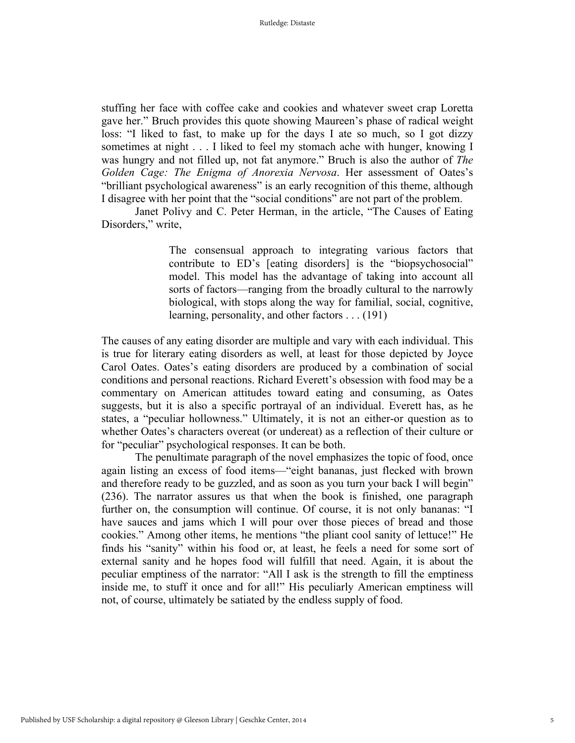stuffing her face with coffee cake and cookies and whatever sweet crap Loretta gave her." Bruch provides this quote showing Maureen's phase of radical weight loss: "I liked to fast, to make up for the days I ate so much, so I got dizzy sometimes at night . . . I liked to feel my stomach ache with hunger, knowing I was hungry and not filled up, not fat anymore." Bruch is also the author of *The Golden Cage: The Enigma of Anorexia Nervosa*. Her assessment of Oates's "brilliant psychological awareness" is an early recognition of this theme, although I disagree with her point that the "social conditions" are not part of the problem.

Janet Polivy and C. Peter Herman, in the article, "The Causes of Eating Disorders," write,

> The consensual approach to integrating various factors that contribute to ED's [eating disorders] is the "biopsychosocial" model. This model has the advantage of taking into account all sorts of factors—ranging from the broadly cultural to the narrowly biological, with stops along the way for familial, social, cognitive, learning, personality, and other factors . . . (191)

The causes of any eating disorder are multiple and vary with each individual. This is true for literary eating disorders as well, at least for those depicted by Joyce Carol Oates. Oates's eating disorders are produced by a combination of social conditions and personal reactions. Richard Everett's obsession with food may be a commentary on American attitudes toward eating and consuming, as Oates suggests, but it is also a specific portrayal of an individual. Everett has, as he states, a "peculiar hollowness." Ultimately, it is not an either-or question as to whether Oates's characters overeat (or undereat) as a reflection of their culture or for "peculiar" psychological responses. It can be both.

The penultimate paragraph of the novel emphasizes the topic of food, once again listing an excess of food items—"eight bananas, just flecked with brown and therefore ready to be guzzled, and as soon as you turn your back I will begin" (236). The narrator assures us that when the book is finished, one paragraph further on, the consumption will continue. Of course, it is not only bananas: "I have sauces and jams which I will pour over those pieces of bread and those cookies." Among other items, he mentions "the pliant cool sanity of lettuce!" He finds his "sanity" within his food or, at least, he feels a need for some sort of external sanity and he hopes food will fulfill that need. Again, it is about the peculiar emptiness of the narrator: "All I ask is the strength to fill the emptiness inside me, to stuff it once and for all!" His peculiarly American emptiness will not, of course, ultimately be satiated by the endless supply of food.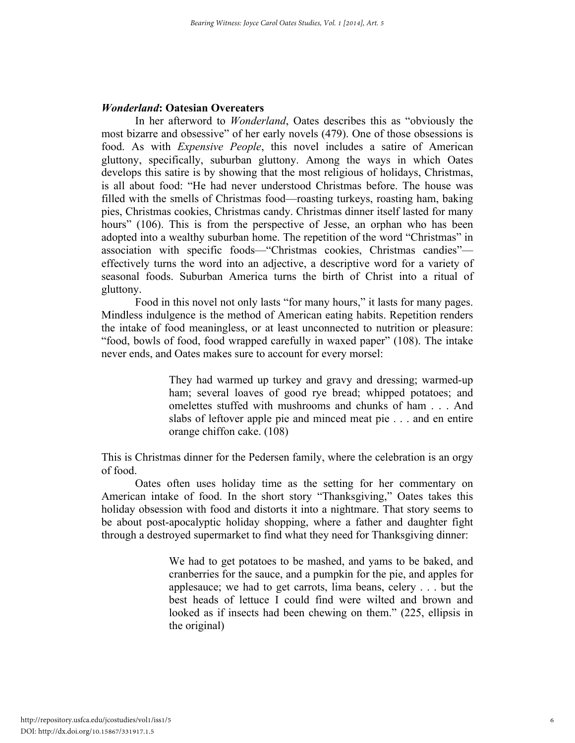# *Wonderland***: Oatesian Overeaters**

In her afterword to *Wonderland*, Oates describes this as "obviously the most bizarre and obsessive" of her early novels (479). One of those obsessions is food. As with *Expensive People*, this novel includes a satire of American gluttony, specifically, suburban gluttony. Among the ways in which Oates develops this satire is by showing that the most religious of holidays, Christmas, is all about food: "He had never understood Christmas before. The house was filled with the smells of Christmas food—roasting turkeys, roasting ham, baking pies, Christmas cookies, Christmas candy. Christmas dinner itself lasted for many hours" (106). This is from the perspective of Jesse, an orphan who has been adopted into a wealthy suburban home. The repetition of the word "Christmas" in association with specific foods—"Christmas cookies, Christmas candies" effectively turns the word into an adjective, a descriptive word for a variety of seasonal foods. Suburban America turns the birth of Christ into a ritual of gluttony.

Food in this novel not only lasts "for many hours," it lasts for many pages. Mindless indulgence is the method of American eating habits. Repetition renders the intake of food meaningless, or at least unconnected to nutrition or pleasure: "food, bowls of food, food wrapped carefully in waxed paper" (108). The intake never ends, and Oates makes sure to account for every morsel:

> They had warmed up turkey and gravy and dressing; warmed-up ham; several loaves of good rye bread; whipped potatoes; and omelettes stuffed with mushrooms and chunks of ham . . . And slabs of leftover apple pie and minced meat pie . . . and en entire orange chiffon cake. (108)

This is Christmas dinner for the Pedersen family, where the celebration is an orgy of food.

Oates often uses holiday time as the setting for her commentary on American intake of food. In the short story "Thanksgiving," Oates takes this holiday obsession with food and distorts it into a nightmare. That story seems to be about post-apocalyptic holiday shopping, where a father and daughter fight through a destroyed supermarket to find what they need for Thanksgiving dinner:

> We had to get potatoes to be mashed, and yams to be baked, and cranberries for the sauce, and a pumpkin for the pie, and apples for applesauce; we had to get carrots, lima beans, celery . . . but the best heads of lettuce I could find were wilted and brown and looked as if insects had been chewing on them." (225, ellipsis in the original)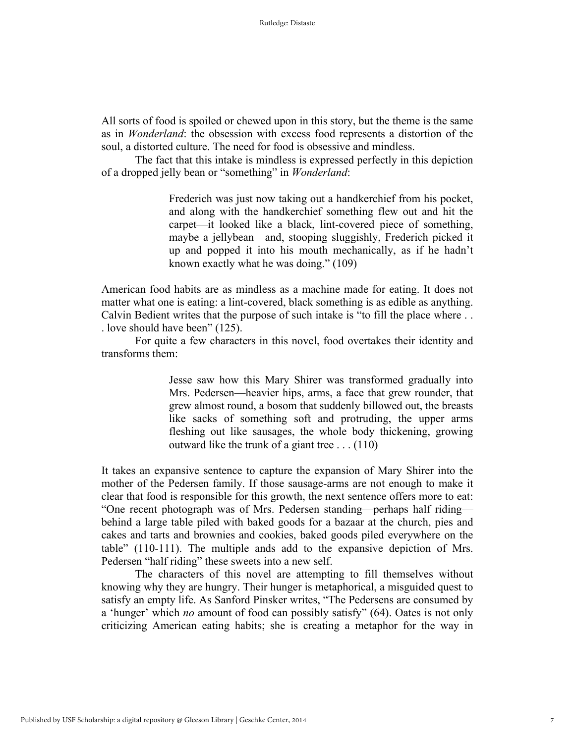All sorts of food is spoiled or chewed upon in this story, but the theme is the same as in *Wonderland*: the obsession with excess food represents a distortion of the soul, a distorted culture. The need for food is obsessive and mindless.

The fact that this intake is mindless is expressed perfectly in this depiction of a dropped jelly bean or "something" in *Wonderland*:

> Frederich was just now taking out a handkerchief from his pocket, and along with the handkerchief something flew out and hit the carpet—it looked like a black, lint-covered piece of something, maybe a jellybean—and, stooping sluggishly, Frederich picked it up and popped it into his mouth mechanically, as if he hadn't known exactly what he was doing." (109)

American food habits are as mindless as a machine made for eating. It does not matter what one is eating: a lint-covered, black something is as edible as anything. Calvin Bedient writes that the purpose of such intake is "to fill the place where . . . love should have been" (125).

For quite a few characters in this novel, food overtakes their identity and transforms them:

> Jesse saw how this Mary Shirer was transformed gradually into Mrs. Pedersen—heavier hips, arms, a face that grew rounder, that grew almost round, a bosom that suddenly billowed out, the breasts like sacks of something soft and protruding, the upper arms fleshing out like sausages, the whole body thickening, growing outward like the trunk of a giant tree . . . (110)

It takes an expansive sentence to capture the expansion of Mary Shirer into the mother of the Pedersen family. If those sausage-arms are not enough to make it clear that food is responsible for this growth, the next sentence offers more to eat: "One recent photograph was of Mrs. Pedersen standing—perhaps half riding behind a large table piled with baked goods for a bazaar at the church, pies and cakes and tarts and brownies and cookies, baked goods piled everywhere on the table" (110-111). The multiple ands add to the expansive depiction of Mrs. Pedersen "half riding" these sweets into a new self.

The characters of this novel are attempting to fill themselves without knowing why they are hungry. Their hunger is metaphorical, a misguided quest to satisfy an empty life. As Sanford Pinsker writes, "The Pedersens are consumed by a 'hunger' which *no* amount of food can possibly satisfy" (64). Oates is not only criticizing American eating habits; she is creating a metaphor for the way in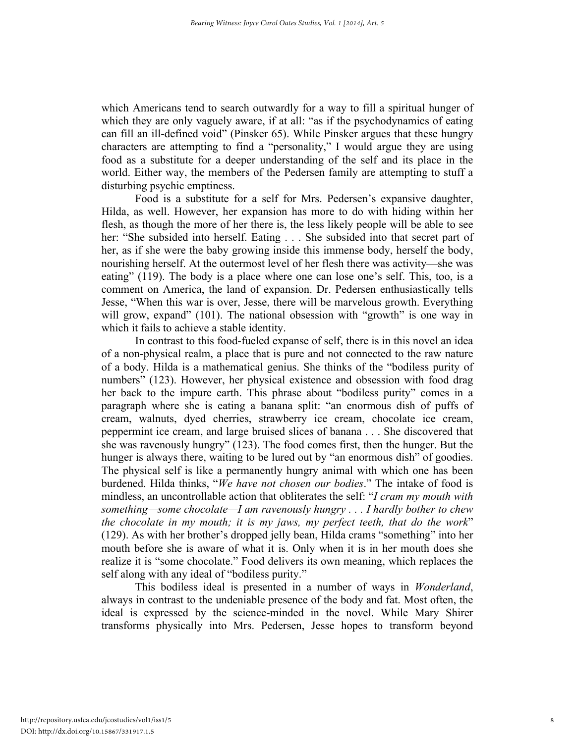which Americans tend to search outwardly for a way to fill a spiritual hunger of which they are only vaguely aware, if at all: "as if the psychodynamics of eating can fill an ill-defined void" (Pinsker 65). While Pinsker argues that these hungry characters are attempting to find a "personality," I would argue they are using food as a substitute for a deeper understanding of the self and its place in the world. Either way, the members of the Pedersen family are attempting to stuff a disturbing psychic emptiness.

Food is a substitute for a self for Mrs. Pedersen's expansive daughter, Hilda, as well. However, her expansion has more to do with hiding within her flesh, as though the more of her there is, the less likely people will be able to see her: "She subsided into herself. Eating . . . She subsided into that secret part of her, as if she were the baby growing inside this immense body, herself the body, nourishing herself. At the outermost level of her flesh there was activity—she was eating" (119). The body is a place where one can lose one's self. This, too, is a comment on America, the land of expansion. Dr. Pedersen enthusiastically tells Jesse, "When this war is over, Jesse, there will be marvelous growth. Everything will grow, expand" (101). The national obsession with "growth" is one way in which it fails to achieve a stable identity.

In contrast to this food-fueled expanse of self, there is in this novel an idea of a non-physical realm, a place that is pure and not connected to the raw nature of a body. Hilda is a mathematical genius. She thinks of the "bodiless purity of numbers" (123). However, her physical existence and obsession with food drag her back to the impure earth. This phrase about "bodiless purity" comes in a paragraph where she is eating a banana split: "an enormous dish of puffs of cream, walnuts, dyed cherries, strawberry ice cream, chocolate ice cream, peppermint ice cream, and large bruised slices of banana . . . She discovered that she was ravenously hungry" (123). The food comes first, then the hunger. But the hunger is always there, waiting to be lured out by "an enormous dish" of goodies. The physical self is like a permanently hungry animal with which one has been burdened. Hilda thinks, "*We have not chosen our bodies*." The intake of food is mindless, an uncontrollable action that obliterates the self: "*I cram my mouth with something—some chocolate—I am ravenously hungry . . . I hardly bother to chew the chocolate in my mouth; it is my jaws, my perfect teeth, that do the work*" (129). As with her brother's dropped jelly bean, Hilda crams "something" into her mouth before she is aware of what it is. Only when it is in her mouth does she realize it is "some chocolate." Food delivers its own meaning, which replaces the self along with any ideal of "bodiless purity."

This bodiless ideal is presented in a number of ways in *Wonderland*, always in contrast to the undeniable presence of the body and fat. Most often, the ideal is expressed by the science-minded in the novel. While Mary Shirer transforms physically into Mrs. Pedersen, Jesse hopes to transform beyond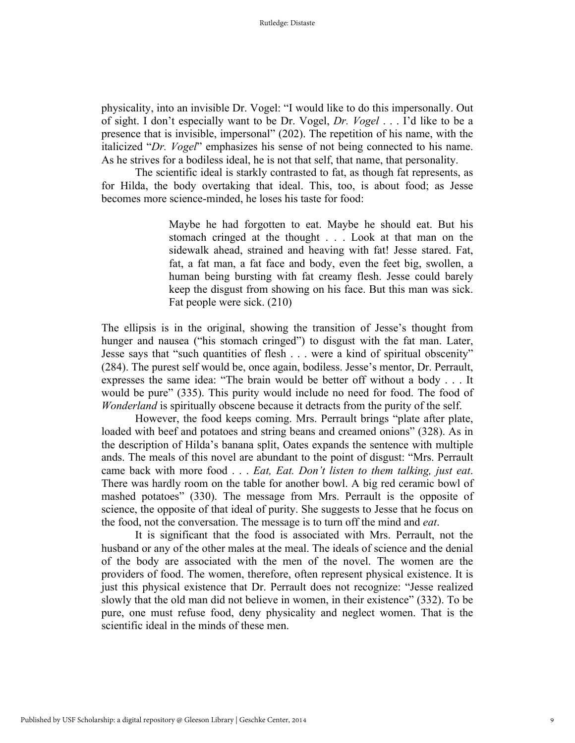physicality, into an invisible Dr. Vogel: "I would like to do this impersonally. Out of sight. I don't especially want to be Dr. Vogel, *Dr. Vogel* . . . I'd like to be a presence that is invisible, impersonal" (202). The repetition of his name, with the italicized "*Dr. Vogel*" emphasizes his sense of not being connected to his name. As he strives for a bodiless ideal, he is not that self, that name, that personality.

The scientific ideal is starkly contrasted to fat, as though fat represents, as for Hilda, the body overtaking that ideal. This, too, is about food; as Jesse becomes more science-minded, he loses his taste for food:

> Maybe he had forgotten to eat. Maybe he should eat. But his stomach cringed at the thought . . . Look at that man on the sidewalk ahead, strained and heaving with fat! Jesse stared. Fat, fat, a fat man, a fat face and body, even the feet big, swollen, a human being bursting with fat creamy flesh. Jesse could barely keep the disgust from showing on his face. But this man was sick. Fat people were sick. (210)

The ellipsis is in the original, showing the transition of Jesse's thought from hunger and nausea ("his stomach cringed") to disgust with the fat man. Later, Jesse says that "such quantities of flesh . . . were a kind of spiritual obscenity" (284). The purest self would be, once again, bodiless. Jesse's mentor, Dr. Perrault, expresses the same idea: "The brain would be better off without a body . . . It would be pure" (335). This purity would include no need for food. The food of *Wonderland* is spiritually obscene because it detracts from the purity of the self.

However, the food keeps coming. Mrs. Perrault brings "plate after plate, loaded with beef and potatoes and string beans and creamed onions" (328). As in the description of Hilda's banana split, Oates expands the sentence with multiple ands. The meals of this novel are abundant to the point of disgust: "Mrs. Perrault came back with more food . . . *Eat, Eat. Don't listen to them talking, just eat*. There was hardly room on the table for another bowl. A big red ceramic bowl of mashed potatoes" (330). The message from Mrs. Perrault is the opposite of science, the opposite of that ideal of purity. She suggests to Jesse that he focus on the food, not the conversation. The message is to turn off the mind and *eat*.

It is significant that the food is associated with Mrs. Perrault, not the husband or any of the other males at the meal. The ideals of science and the denial of the body are associated with the men of the novel. The women are the providers of food. The women, therefore, often represent physical existence. It is just this physical existence that Dr. Perrault does not recognize: "Jesse realized slowly that the old man did not believe in women, in their existence" (332). To be pure, one must refuse food, deny physicality and neglect women. That is the scientific ideal in the minds of these men.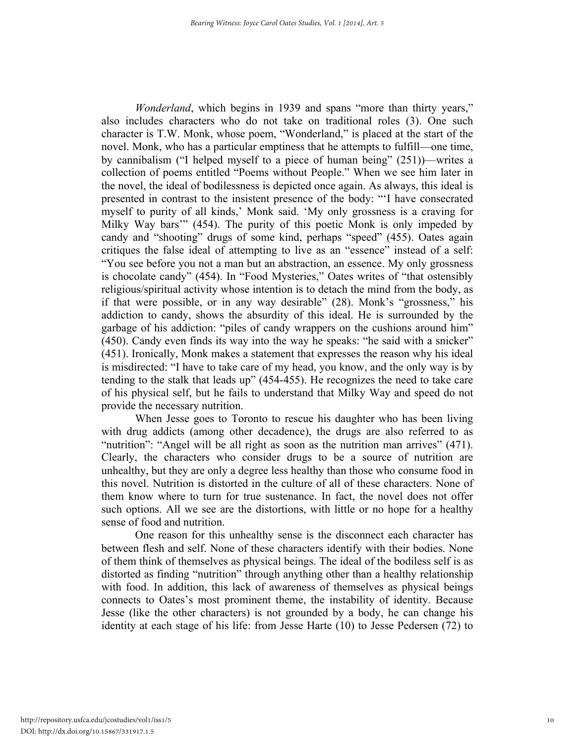*Wonderland*, which begins in 1939 and spans "more than thirty years," also includes characters who do not take on traditional roles (3). One such character is T.W. Monk, whose poem, "Wonderland," is placed at the start of the novel. Monk, who has a particular emptiness that he attempts to fulfill—one time, by cannibalism ("I helped myself to a piece of human being" (251))—writes a collection of poems entitled "Poems without People." When we see him later in the novel, the ideal of bodilessness is depicted once again. As always, this ideal is presented in contrast to the insistent presence of the body: "'I have consecrated myself to purity of all kinds,' Monk said. 'My only grossness is a craving for Milky Way bars'" (454). The purity of this poetic Monk is only impeded by candy and "shooting" drugs of some kind, perhaps "speed" (455). Oates again critiques the false ideal of attempting to live as an "essence" instead of a self: "You see before you not a man but an abstraction, an essence. My only grossness is chocolate candy" (454). In "Food Mysteries," Oates writes of "that ostensibly religious/spiritual activity whose intention is to detach the mind from the body, as if that were possible, or in any way desirable" (28). Monk's "grossness," his addiction to candy, shows the absurdity of this ideal. He is surrounded by the garbage of his addiction: "piles of candy wrappers on the cushions around him" (450). Candy even finds its way into the way he speaks: "he said with a snicker" (451). Ironically, Monk makes a statement that expresses the reason why his ideal is misdirected: "I have to take care of my head, you know, and the only way is by tending to the stalk that leads up" (454-455). He recognizes the need to take care of his physical self, but he fails to understand that Milky Way and speed do not provide the necessary nutrition.

When Jesse goes to Toronto to rescue his daughter who has been living with drug addicts (among other decadence), the drugs are also referred to as "
nutrition": "Angel will be all right as soon as the nutrition man arrives" (471). Clearly, the characters who consider drugs to be a source of nutrition are unhealthy, but they are only a degree less healthy than those who consume food in this novel. Nutrition is distorted in the culture of all of these characters. None of them know where to turn for true sustenance. In fact, the novel does not offer such options. All we see are the distortions, with little or no hope for a healthy sense of food and nutrition.

One reason for this unhealthy sense is the disconnect each character has between flesh and self. None of these characters identify with their bodies. None of them think of themselves as physical beings. The ideal of the bodiless self is as distorted as finding "nutrition" through anything other than a healthy relationship with food. In addition, this lack of awareness of themselves as physical beings connects to Oates's most prominent theme, the instability of identity. Because Jesse (like the other characters) is not grounded by a body, he can change his identity at each stage of his life: from Jesse Harte (10) to Jesse Pedersen (72) to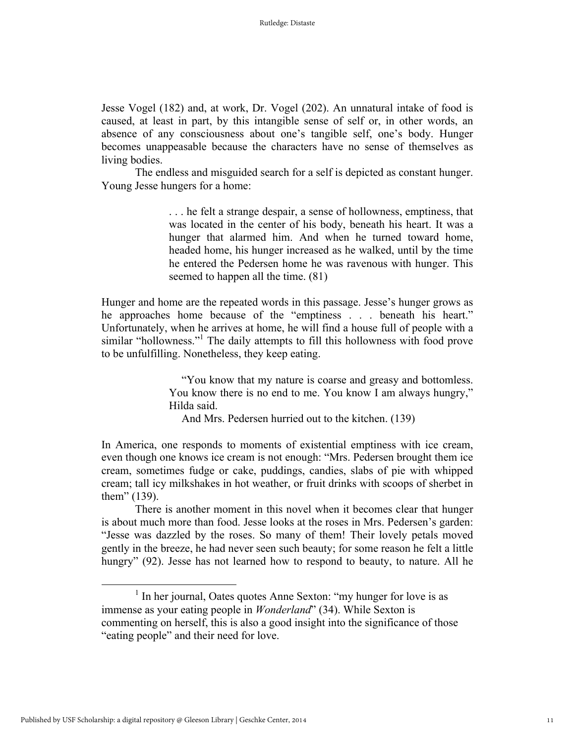Jesse Vogel (182) and, at work, Dr. Vogel (202). An unnatural intake of food is caused, at least in part, by this intangible sense of self or, in other words, an absence of any consciousness about one's tangible self, one's body. Hunger becomes unappeasable because the characters have no sense of themselves as living bodies.

The endless and misguided search for a self is depicted as constant hunger. Young Jesse hungers for a home:

> . . . he felt a strange despair, a sense of hollowness, emptiness, that was located in the center of his body, beneath his heart. It was a hunger that alarmed him. And when he turned toward home, headed home, his hunger increased as he walked, until by the time he entered the Pedersen home he was ravenous with hunger. This seemed to happen all the time. (81)

Hunger and home are the repeated words in this passage. Jesse's hunger grows as he approaches home because of the "emptiness . . . beneath his heart." Unfortunately, when he arrives at home, he will find a house full of people with a similar "hollowness."<sup>1</sup> The daily attempts to fill this hollowness with food prove to be unfulfilling. Nonetheless, they keep eating.

> "You know that my nature is coarse and greasy and bottomless. You know there is no end to me. You know I am always hungry," Hilda said.

And Mrs. Pedersen hurried out to the kitchen. (139)

In America, one responds to moments of existential emptiness with ice cream, even though one knows ice cream is not enough: "Mrs. Pedersen brought them ice cream, sometimes fudge or cake, puddings, candies, slabs of pie with whipped cream; tall icy milkshakes in hot weather, or fruit drinks with scoops of sherbet in them" (139).

There is another moment in this novel when it becomes clear that hunger is about much more than food. Jesse looks at the roses in Mrs. Pedersen's garden: "Jesse was dazzled by the roses. So many of them! Their lovely petals moved gently in the breeze, he had never seen such beauty; for some reason he felt a little hungry" (92). Jesse has not learned how to respond to beauty, to nature. All he

<sup>&</sup>lt;sup>1</sup> In her journal, Oates quotes Anne Sexton: "my hunger for love is as immense as your eating people in *Wonderland*" (34). While Sexton is commenting on herself, this is also a good insight into the significance of those "eating people" and their need for love.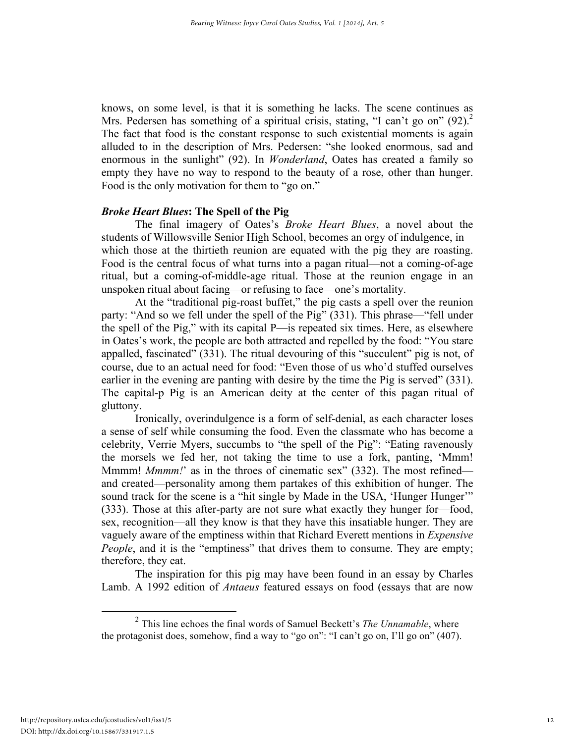knows, on some level, is that it is something he lacks. The scene continues as Mrs. Pedersen has something of a spiritual crisis, stating, "I can't go on"  $(92)$ .<sup>2</sup> The fact that food is the constant response to such existential moments is again alluded to in the description of Mrs. Pedersen: "she looked enormous, sad and enormous in the sunlight" (92). In *Wonderland*, Oates has created a family so empty they have no way to respond to the beauty of a rose, other than hunger. Food is the only motivation for them to "go on."

### *Broke Heart Blues***: The Spell of the Pig**

The final imagery of Oates's *Broke Heart Blues*, a novel about the students of Willowsville Senior High School, becomes an orgy of indulgence, in which those at the thirtieth reunion are equated with the pig they are roasting. Food is the central focus of what turns into a pagan ritual—not a coming-of-age ritual, but a coming-of-middle-age ritual. Those at the reunion engage in an unspoken ritual about facing—or refusing to face—one's mortality.

At the "traditional pig-roast buffet," the pig casts a spell over the reunion party: "And so we fell under the spell of the Pig" (331). This phrase—"fell under the spell of the Pig," with its capital P—is repeated six times. Here, as elsewhere in Oates's work, the people are both attracted and repelled by the food: "You stare appalled, fascinated" (331). The ritual devouring of this "succulent" pig is not, of course, due to an actual need for food: "Even those of us who'd stuffed ourselves earlier in the evening are panting with desire by the time the Pig is served" (331). The capital-p Pig is an American deity at the center of this pagan ritual of gluttony.

Ironically, overindulgence is a form of self-denial, as each character loses a sense of self while consuming the food. Even the classmate who has become a celebrity, Verrie Myers, succumbs to "the spell of the Pig": "Eating ravenously the morsels we fed her, not taking the time to use a fork, panting, 'Mmm! Mmmm! *Mmmm!*' as in the throes of cinematic sex" (332). The most refined and created—personality among them partakes of this exhibition of hunger. The sound track for the scene is a "hit single by Made in the USA, 'Hunger Hunger'" (333). Those at this after-party are not sure what exactly they hunger for—food, sex, recognition—all they know is that they have this insatiable hunger. They are vaguely aware of the emptiness within that Richard Everett mentions in *Expensive People*, and it is the "emptiness" that drives them to consume. They are empty; therefore, they eat.

The inspiration for this pig may have been found in an essay by Charles Lamb. A 1992 edition of *Antaeus* featured essays on food (essays that are now

 <sup>2</sup> This line echoes the final words of Samuel Beckett's *The Unnamable*, where the protagonist does, somehow, find a way to "go on": "I can't go on, I'll go on" (407).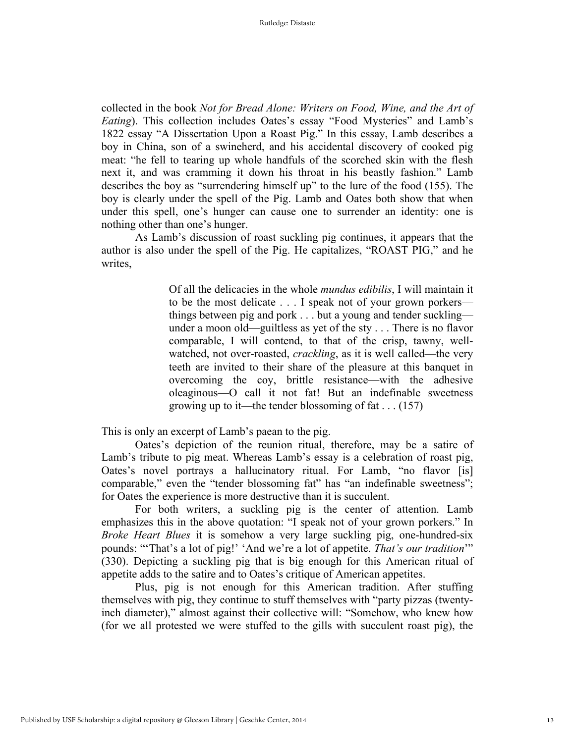collected in the book *Not for Bread Alone: Writers on Food, Wine, and the Art of Eating*). This collection includes Oates's essay "Food Mysteries" and Lamb's 1822 essay "A Dissertation Upon a Roast Pig." In this essay, Lamb describes a boy in China, son of a swineherd, and his accidental discovery of cooked pig meat: "he fell to tearing up whole handfuls of the scorched skin with the flesh next it, and was cramming it down his throat in his beastly fashion." Lamb describes the boy as "surrendering himself up" to the lure of the food (155). The boy is clearly under the spell of the Pig. Lamb and Oates both show that when under this spell, one's hunger can cause one to surrender an identity: one is nothing other than one's hunger.

As Lamb's discussion of roast suckling pig continues, it appears that the author is also under the spell of the Pig. He capitalizes, "ROAST PIG," and he writes,

> Of all the delicacies in the whole *mundus edibilis*, I will maintain it to be the most delicate . . . I speak not of your grown porkers things between pig and pork . . . but a young and tender suckling under a moon old—guiltless as yet of the sty . . . There is no flavor comparable, I will contend, to that of the crisp, tawny, wellwatched, not over-roasted, *crackling*, as it is well called—the very teeth are invited to their share of the pleasure at this banquet in overcoming the coy, brittle resistance—with the adhesive oleaginous—O call it not fat! But an indefinable sweetness growing up to it—the tender blossoming of fat . . . (157)

This is only an excerpt of Lamb's paean to the pig.

Oates's depiction of the reunion ritual, therefore, may be a satire of Lamb's tribute to pig meat. Whereas Lamb's essay is a celebration of roast pig, Oates's novel portrays a hallucinatory ritual. For Lamb, "no flavor [is] comparable," even the "tender blossoming fat" has "an indefinable sweetness"; for Oates the experience is more destructive than it is succulent.

For both writers, a suckling pig is the center of attention. Lamb emphasizes this in the above quotation: "I speak not of your grown porkers." In *Broke Heart Blues* it is somehow a very large suckling pig, one-hundred-six pounds: "'That's a lot of pig!' 'And we're a lot of appetite. *That's our tradition*'" (330). Depicting a suckling pig that is big enough for this American ritual of appetite adds to the satire and to Oates's critique of American appetites.

Plus, pig is not enough for this American tradition. After stuffing themselves with pig, they continue to stuff themselves with "party pizzas (twentyinch diameter)," almost against their collective will: "Somehow, who knew how (for we all protested we were stuffed to the gills with succulent roast pig), the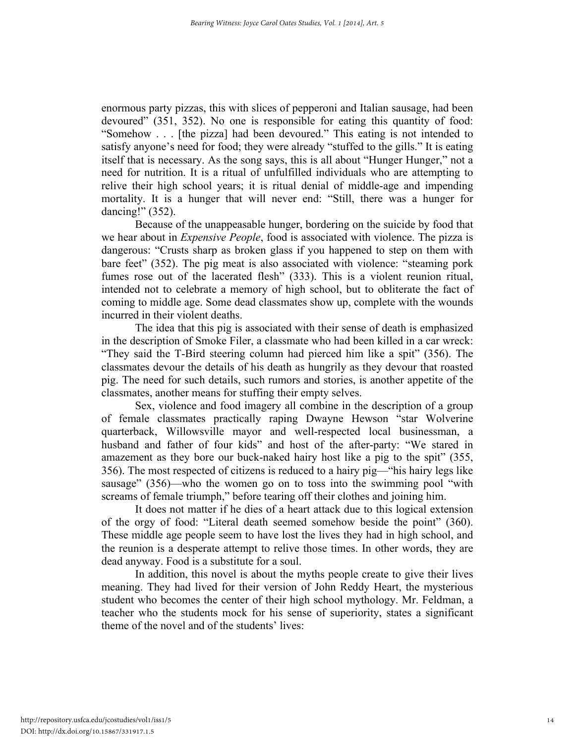enormous party pizzas, this with slices of pepperoni and Italian sausage, had been devoured" (351, 352). No one is responsible for eating this quantity of food: "Somehow . . . [the pizza] had been devoured." This eating is not intended to satisfy anyone's need for food; they were already "stuffed to the gills." It is eating itself that is necessary. As the song says, this is all about "Hunger Hunger," not a need for nutrition. It is a ritual of unfulfilled individuals who are attempting to relive their high school years; it is ritual denial of middle-age and impending mortality. It is a hunger that will never end: "Still, there was a hunger for dancing!" (352).

Because of the unappeasable hunger, bordering on the suicide by food that we hear about in *Expensive People*, food is associated with violence. The pizza is dangerous: "Crusts sharp as broken glass if you happened to step on them with bare feet" (352). The pig meat is also associated with violence: "steaming pork fumes rose out of the lacerated flesh" (333). This is a violent reunion ritual, intended not to celebrate a memory of high school, but to obliterate the fact of coming to middle age. Some dead classmates show up, complete with the wounds incurred in their violent deaths.

The idea that this pig is associated with their sense of death is emphasized in the description of Smoke Filer, a classmate who had been killed in a car wreck: "They said the T-Bird steering column had pierced him like a spit" (356). The classmates devour the details of his death as hungrily as they devour that roasted pig. The need for such details, such rumors and stories, is another appetite of the classmates, another means for stuffing their empty selves.

Sex, violence and food imagery all combine in the description of a group of female classmates practically raping Dwayne Hewson "star Wolverine quarterback, Willowsville mayor and well-respected local businessman, a husband and father of four kids" and host of the after-party: "We stared in amazement as they bore our buck-naked hairy host like a pig to the spit" (355, 356). The most respected of citizens is reduced to a hairy pig—"his hairy legs like sausage" (356)—who the women go on to toss into the swimming pool "with screams of female triumph," before tearing off their clothes and joining him.

It does not matter if he dies of a heart attack due to this logical extension of the orgy of food: "Literal death seemed somehow beside the point" (360). These middle age people seem to have lost the lives they had in high school, and the reunion is a desperate attempt to relive those times. In other words, they are dead anyway. Food is a substitute for a soul.

In addition, this novel is about the myths people create to give their lives meaning. They had lived for their version of John Reddy Heart, the mysterious student who becomes the center of their high school mythology. Mr. Feldman, a teacher who the students mock for his sense of superiority, states a significant theme of the novel and of the students' lives: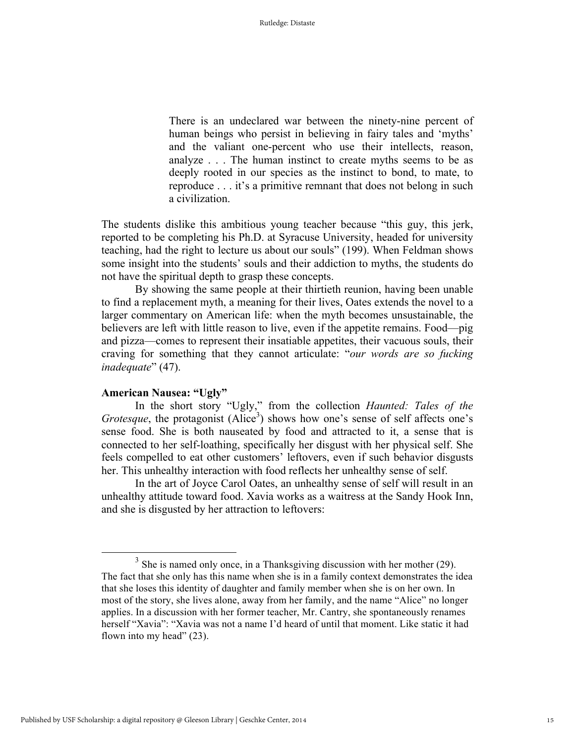There is an undeclared war between the ninety-nine percent of human beings who persist in believing in fairy tales and 'myths' and the valiant one-percent who use their intellects, reason, analyze . . . The human instinct to create myths seems to be as deeply rooted in our species as the instinct to bond, to mate, to reproduce . . . it's a primitive remnant that does not belong in such a civilization.

The students dislike this ambitious young teacher because "this guy, this jerk, reported to be completing his Ph.D. at Syracuse University, headed for university teaching, had the right to lecture us about our souls" (199). When Feldman shows some insight into the students' souls and their addiction to myths, the students do not have the spiritual depth to grasp these concepts.

By showing the same people at their thirtieth reunion, having been unable to find a replacement myth, a meaning for their lives, Oates extends the novel to a larger commentary on American life: when the myth becomes unsustainable, the believers are left with little reason to live, even if the appetite remains. Food—pig and pizza—comes to represent their insatiable appetites, their vacuous souls, their craving for something that they cannot articulate: "*our words are so fucking inadequate*" (47).

#### **American Nausea: "Ugly"**

In the short story "Ugly," from the collection *Haunted: Tales of the Grotesque*, the protagonist (Alice<sup>3</sup>) shows how one's sense of self affects one's sense food. She is both nauseated by food and attracted to it, a sense that is connected to her self-loathing, specifically her disgust with her physical self. She feels compelled to eat other customers' leftovers, even if such behavior disgusts her. This unhealthy interaction with food reflects her unhealthy sense of self.

In the art of Joyce Carol Oates, an unhealthy sense of self will result in an unhealthy attitude toward food. Xavia works as a waitress at the Sandy Hook Inn, and she is disgusted by her attraction to leftovers:

 $3$  She is named only once, in a Thanksgiving discussion with her mother (29). The fact that she only has this name when she is in a family context demonstrates the idea that she loses this identity of daughter and family member when she is on her own. In most of the story, she lives alone, away from her family, and the name "Alice" no longer applies. In a discussion with her former teacher, Mr. Cantry, she spontaneously renames herself "Xavia": "Xavia was not a name I'd heard of until that moment. Like static it had flown into my head" (23).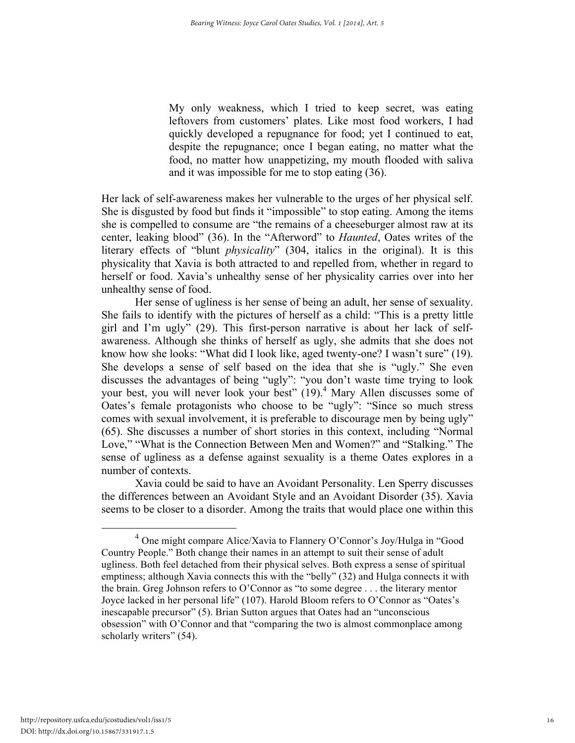My only weakness, which I tried to keep secret, was eating leftovers from customers' plates. Like most food workers, I had quickly developed a repugnance for food; yet I continued to eat, despite the repugnance; once I began eating, no matter what the food, no matter how unappetizing, my mouth flooded with saliva and it was impossible for me to stop eating (36).

Her lack of self-awareness makes her vulnerable to the urges of her physical self. She is disgusted by food but finds it "impossible" to stop eating. Among the items she is compelled to consume are "the remains of a cheeseburger almost raw at its center, leaking blood" (36). In the "Afterword" to *Haunted*, Oates writes of the literary effects of "blunt *physicality*" (304, italics in the original). It is this physicality that Xavia is both attracted to and repelled from, whether in regard to herself or food. Xavia's unhealthy sense of her physicality carries over into her unhealthy sense of food.

Her sense of ugliness is her sense of being an adult, her sense of sexuality. She fails to identify with the pictures of herself as a child: "This is a pretty little girl and I'm ugly" (29). This first-person narrative is about her lack of selfawareness. Although she thinks of herself as ugly, she admits that she does not know how she looks: "What did I look like, aged twenty-one? I wasn't sure" (19). She develops a sense of self based on the idea that she is "ugly." She even discusses the advantages of being "ugly": "you don't waste time trying to look your best, you will never look your best" (19).<sup>4</sup> Mary Allen discusses some of Oates's female protagonists who choose to be "ugly": "Since so much stress comes with sexual involvement, it is preferable to discourage men by being ugly" (65). She discusses a number of short stories in this context, including "Normal Love," "What is the Connection Between Men and Women?" and "Stalking." The sense of ugliness as a defense against sexuality is a theme Oates explores in a number of contexts.

Xavia could be said to have an Avoidant Personality. Len Sperry discusses the differences between an Avoidant Style and an Avoidant Disorder (35). Xavia seems to be closer to a disorder. Among the traits that would place one within this

<sup>&</sup>lt;sup>4</sup> One might compare Alice/Xavia to Flannery O'Connor's Joy/Hulga in "Good" Country People." Both change their names in an attempt to suit their sense of adult ugliness. Both feel detached from their physical selves. Both express a sense of spiritual emptiness; although Xavia connects this with the "belly" (32) and Hulga connects it with the brain. Greg Johnson refers to O'Connor as "to some degree . . . the literary mentor Joyce lacked in her personal life" (107). Harold Bloom refers to O'Connor as "Oates's inescapable precursor" (5). Brian Sutton argues that Oates had an "unconscious obsession" with O'Connor and that "comparing the two is almost commonplace among scholarly writers" (54).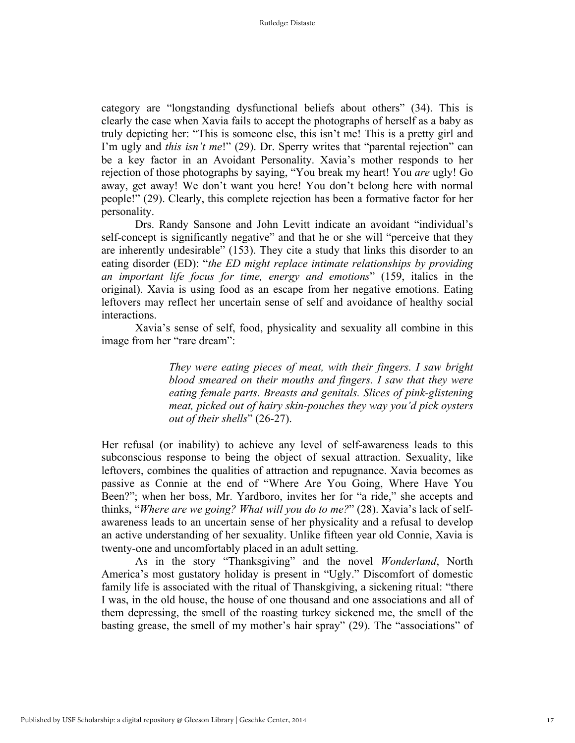category are "longstanding dysfunctional beliefs about others" (34). This is clearly the case when Xavia fails to accept the photographs of herself as a baby as truly depicting her: "This is someone else, this isn't me! This is a pretty girl and I'm ugly and *this isn't me*!" (29). Dr. Sperry writes that "parental rejection" can be a key factor in an Avoidant Personality. Xavia's mother responds to her rejection of those photographs by saying, "You break my heart! You *are* ugly! Go away, get away! We don't want you here! You don't belong here with normal people!" (29). Clearly, this complete rejection has been a formative factor for her personality.

Drs. Randy Sansone and John Levitt indicate an avoidant "individual's self-concept is significantly negative" and that he or she will "perceive that they are inherently undesirable" (153). They cite a study that links this disorder to an eating disorder (ED): "*the ED might replace intimate relationships by providing an important life focus for time, energy and emotions*" (159, italics in the original). Xavia is using food as an escape from her negative emotions. Eating leftovers may reflect her uncertain sense of self and avoidance of healthy social interactions.

Xavia's sense of self, food, physicality and sexuality all combine in this image from her "rare dream":

> *They were eating pieces of meat, with their fingers. I saw bright blood smeared on their mouths and fingers. I saw that they were eating female parts. Breasts and genitals. Slices of pink-glistening meat, picked out of hairy skin-pouches they way you'd pick oysters out of their shells*" (26-27).

Her refusal (or inability) to achieve any level of self-awareness leads to this subconscious response to being the object of sexual attraction. Sexuality, like leftovers, combines the qualities of attraction and repugnance. Xavia becomes as passive as Connie at the end of "Where Are You Going, Where Have You Been?"; when her boss, Mr. Yardboro, invites her for "a ride," she accepts and thinks, "*Where are we going? What will you do to me?*" (28). Xavia's lack of selfawareness leads to an uncertain sense of her physicality and a refusal to develop an active understanding of her sexuality. Unlike fifteen year old Connie, Xavia is twenty-one and uncomfortably placed in an adult setting.

As in the story "Thanksgiving" and the novel *Wonderland*, North America's most gustatory holiday is present in "Ugly." Discomfort of domestic family life is associated with the ritual of Thanskgiving, a sickening ritual: "there I was, in the old house, the house of one thousand and one associations and all of them depressing, the smell of the roasting turkey sickened me, the smell of the basting grease, the smell of my mother's hair spray" (29). The "associations" of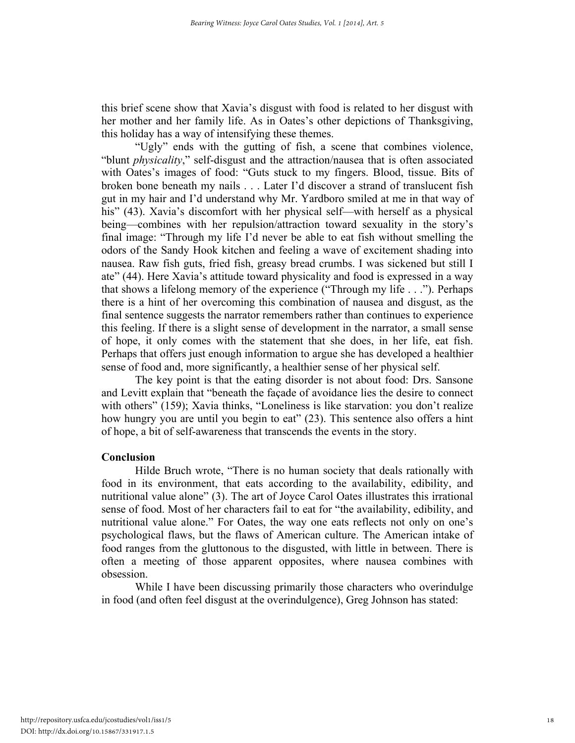this brief scene show that Xavia's disgust with food is related to her disgust with her mother and her family life. As in Oates's other depictions of Thanksgiving, this holiday has a way of intensifying these themes.

"Ugly" ends with the gutting of fish, a scene that combines violence, "blunt *physicality*," self-disgust and the attraction/nausea that is often associated with Oates's images of food: "Guts stuck to my fingers. Blood, tissue. Bits of broken bone beneath my nails . . . Later I'd discover a strand of translucent fish gut in my hair and I'd understand why Mr. Yardboro smiled at me in that way of his" (43). Xavia's discomfort with her physical self—with herself as a physical being—combines with her repulsion/attraction toward sexuality in the story's final image: "Through my life I'd never be able to eat fish without smelling the odors of the Sandy Hook kitchen and feeling a wave of excitement shading into nausea. Raw fish guts, fried fish, greasy bread crumbs. I was sickened but still I ate" (44). Here Xavia's attitude toward physicality and food is expressed in a way that shows a lifelong memory of the experience ("Through my life . . ."). Perhaps there is a hint of her overcoming this combination of nausea and disgust, as the final sentence suggests the narrator remembers rather than continues to experience this feeling. If there is a slight sense of development in the narrator, a small sense of hope, it only comes with the statement that she does, in her life, eat fish. Perhaps that offers just enough information to argue she has developed a healthier sense of food and, more significantly, a healthier sense of her physical self.

The key point is that the eating disorder is not about food: Drs. Sansone and Levitt explain that "beneath the façade of avoidance lies the desire to connect with others" (159); Xavia thinks, "Loneliness is like starvation: you don't realize how hungry you are until you begin to eat" (23). This sentence also offers a hint of hope, a bit of self-awareness that transcends the events in the story.

# **Conclusion**

Hilde Bruch wrote, "There is no human society that deals rationally with food in its environment, that eats according to the availability, edibility, and nutritional value alone" (3). The art of Joyce Carol Oates illustrates this irrational sense of food. Most of her characters fail to eat for "the availability, edibility, and nutritional value alone." For Oates, the way one eats reflects not only on one's psychological flaws, but the flaws of American culture. The American intake of food ranges from the gluttonous to the disgusted, with little in between. There is often a meeting of those apparent opposites, where nausea combines with obsession.

While I have been discussing primarily those characters who overindulge in food (and often feel disgust at the overindulgence), Greg Johnson has stated: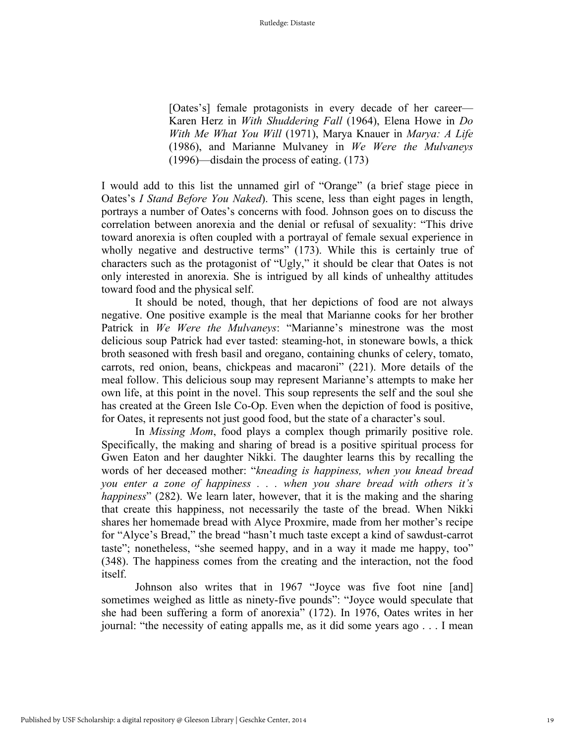[Oates's] female protagonists in every decade of her career— Karen Herz in *With Shuddering Fall* (1964), Elena Howe in *Do With Me What You Will* (1971), Marya Knauer in *Marya: A Life*  (1986), and Marianne Mulvaney in *We Were the Mulvaneys* (1996)—disdain the process of eating. (173)

I would add to this list the unnamed girl of "Orange" (a brief stage piece in Oates's *I Stand Before You Naked*). This scene, less than eight pages in length, portrays a number of Oates's concerns with food. Johnson goes on to discuss the correlation between anorexia and the denial or refusal of sexuality: "This drive toward anorexia is often coupled with a portrayal of female sexual experience in wholly negative and destructive terms" (173). While this is certainly true of characters such as the protagonist of "Ugly," it should be clear that Oates is not only interested in anorexia. She is intrigued by all kinds of unhealthy attitudes toward food and the physical self.

It should be noted, though, that her depictions of food are not always negative. One positive example is the meal that Marianne cooks for her brother Patrick in *We Were the Mulvaneys*: "Marianne's minestrone was the most delicious soup Patrick had ever tasted: steaming-hot, in stoneware bowls, a thick broth seasoned with fresh basil and oregano, containing chunks of celery, tomato, carrots, red onion, beans, chickpeas and macaroni" (221). More details of the meal follow. This delicious soup may represent Marianne's attempts to make her own life, at this point in the novel. This soup represents the self and the soul she has created at the Green Isle Co-Op. Even when the depiction of food is positive, for Oates, it represents not just good food, but the state of a character's soul.

In *Missing Mom*, food plays a complex though primarily positive role. Specifically, the making and sharing of bread is a positive spiritual process for Gwen Eaton and her daughter Nikki. The daughter learns this by recalling the words of her deceased mother: "*kneading is happiness, when you knead bread you enter a zone of happiness . . . when you share bread with others it's happiness*" (282). We learn later, however, that it is the making and the sharing that create this happiness, not necessarily the taste of the bread. When Nikki shares her homemade bread with Alyce Proxmire, made from her mother's recipe for "Alyce's Bread," the bread "hasn't much taste except a kind of sawdust-carrot taste"; nonetheless, "she seemed happy, and in a way it made me happy, too" (348). The happiness comes from the creating and the interaction, not the food itself.

Johnson also writes that in 1967 "Joyce was five foot nine [and] sometimes weighed as little as ninety-five pounds": "Joyce would speculate that she had been suffering a form of anorexia" (172). In 1976, Oates writes in her journal: "the necessity of eating appalls me, as it did some years ago . . . I mean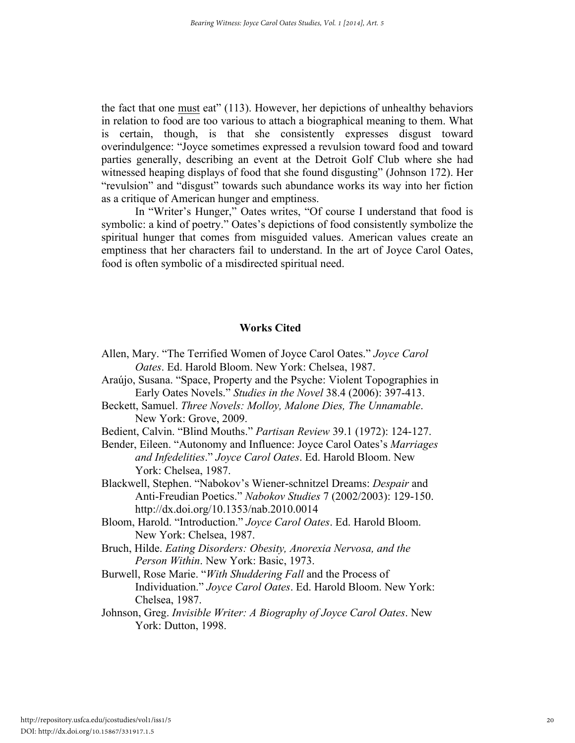the fact that one must eat" (113). However, her depictions of unhealthy behaviors in relation to food are too various to attach a biographical meaning to them. What is certain, though, is that she consistently expresses disgust toward overindulgence: "Joyce sometimes expressed a revulsion toward food and toward parties generally, describing an event at the Detroit Golf Club where she had witnessed heaping displays of food that she found disgusting" (Johnson 172). Her "revulsion" and "disgust" towards such abundance works its way into her fiction as a critique of American hunger and emptiness.

In "Writer's Hunger," Oates writes, "Of course I understand that food is symbolic: a kind of poetry." Oates's depictions of food consistently symbolize the spiritual hunger that comes from misguided values. American values create an emptiness that her characters fail to understand. In the art of Joyce Carol Oates, food is often symbolic of a misdirected spiritual need.

## **Works Cited**

- Allen, Mary. "The Terrified Women of Joyce Carol Oates." *Joyce Carol Oates*. Ed. Harold Bloom. New York: Chelsea, 1987.
- Araújo, Susana. "Space, Property and the Psyche: Violent Topographies in Early Oates Novels." *Studies in the Novel* 38.4 (2006): 397-413.
- Beckett, Samuel. *Three Novels: Molloy, Malone Dies, The Unnamable*. New York: Grove, 2009.
- Bedient, Calvin. "Blind Mouths." *Partisan Review* 39.1 (1972): 124-127.
- Bender, Eileen. "Autonomy and Influence: Joyce Carol Oates's *Marriages and Infedelities*." *Joyce Carol Oates*. Ed. Harold Bloom. New York: Chelsea, 1987.
- Blackwell, Stephen. "Nabokov's Wiener-schnitzel Dreams: *Despair* and Anti-Freudian Poetics." *Nabokov Studies* 7 (2002/2003): 129-150. http://dx.doi.org/10.1353/nab.2010.0014
- Bloom, Harold. "Introduction." *Joyce Carol Oates*. Ed. Harold Bloom. New York: Chelsea, 1987.
- Bruch, Hilde. *Eating Disorders: Obesity, Anorexia Nervosa, and the Person Within*. New York: Basic, 1973.
- Burwell, Rose Marie. "*With Shuddering Fall* and the Process of Individuation." *Joyce Carol Oates*. Ed. Harold Bloom. New York: Chelsea, 1987.
- Johnson, Greg. *Invisible Writer: A Biography of Joyce Carol Oates*. New York: Dutton, 1998.